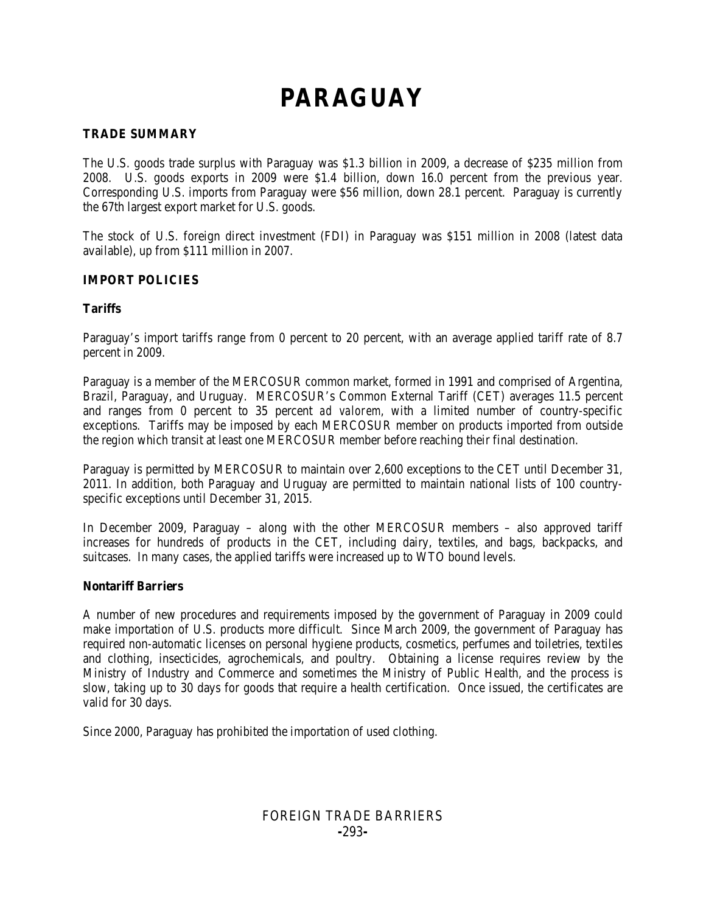# **PARAGUAY**

#### **TRADE SUMMARY**

The U.S. goods trade surplus with Paraguay was \$1.3 billion in 2009, a decrease of \$235 million from 2008. U.S. goods exports in 2009 were \$1.4 billion, down 16.0 percent from the previous year. Corresponding U.S. imports from Paraguay were \$56 million, down 28.1 percent. Paraguay is currently the 67th largest export market for U.S. goods.

The stock of U.S. foreign direct investment (FDI) in Paraguay was \$151 million in 2008 (latest data available), up from \$111 million in 2007.

#### **IMPORT POLICIES**

#### **Tariffs**

Paraguay's import tariffs range from 0 percent to 20 percent, with an average applied tariff rate of 8.7 percent in 2009.

Paraguay is a member of the MERCOSUR common market, formed in 1991 and comprised of Argentina, Brazil, Paraguay, and Uruguay. MERCOSUR's Common External Tariff (CET) averages 11.5 percent and ranges from 0 percent to 35 percent *ad valorem*, with a limited number of country-specific exceptions. Tariffs may be imposed by each MERCOSUR member on products imported from outside the region which transit at least one MERCOSUR member before reaching their final destination.

Paraguay is permitted by MERCOSUR to maintain over 2,600 exceptions to the CET until December 31, 2011. In addition, both Paraguay and Uruguay are permitted to maintain national lists of 100 countryspecific exceptions until December 31, 2015.

In December 2009, Paraguay – along with the other MERCOSUR members – also approved tariff increases for hundreds of products in the CET, including dairy, textiles, and bags, backpacks, and suitcases. In many cases, the applied tariffs were increased up to WTO bound levels.

#### **Nontariff Barriers**

A number of new procedures and requirements imposed by the government of Paraguay in 2009 could make importation of U.S. products more difficult. Since March 2009, the government of Paraguay has required non-automatic licenses on personal hygiene products, cosmetics, perfumes and toiletries, textiles and clothing, insecticides, agrochemicals, and poultry. Obtaining a license requires review by the Ministry of Industry and Commerce and sometimes the Ministry of Public Health, and the process is slow, taking up to 30 days for goods that require a health certification. Once issued, the certificates are valid for 30 days.

Since 2000, Paraguay has prohibited the importation of used clothing.

## FOREIGN TRADE BARRIERS **-**293**-**